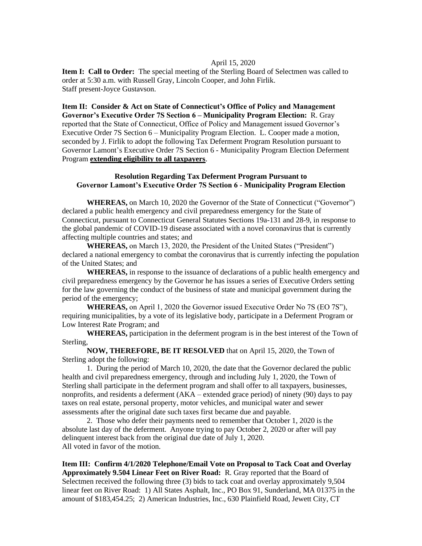## April 15, 2020

**Item I: Call to Order:** The special meeting of the Sterling Board of Selectmen was called to order at 5:30 a.m. with Russell Gray, Lincoln Cooper, and John Firlik. Staff present-Joyce Gustavson.

**Item II: Consider & Act on State of Connecticut's Office of Policy and Management Governor's Executive Order 7S Section 6 – Municipality Program Election:** R. Gray reported that the State of Connecticut, Office of Policy and Management issued Governor's Executive Order 7S Section 6 – Municipality Program Election. L. Cooper made a motion, seconded by J. Firlik to adopt the following Tax Deferment Program Resolution pursuant to Governor Lamont's Executive Order 7S Section 6 - Municipality Program Election Deferment Program **extending eligibility to all taxpayers**.

## **Resolution Regarding Tax Deferment Program Pursuant to Governor Lamont's Executive Order 7S Section 6 - Municipality Program Election**

**WHEREAS,** on March 10, 2020 the Governor of the State of Connecticut ("Governor") declared a public health emergency and civil preparedness emergency for the State of Connecticut, pursuant to Connecticut General Statutes Sections 19a-131 and 28-9, in response to the global pandemic of COVID-19 disease associated with a novel coronavirus that is currently affecting multiple countries and states; and

**WHEREAS,** on March 13, 2020, the President of the United States ("President") declared a national emergency to combat the coronavirus that is currently infecting the population of the United States; and

**WHEREAS,** in response to the issuance of declarations of a public health emergency and civil preparedness emergency by the Governor he has issues a series of Executive Orders setting for the law governing the conduct of the business of state and municipal government during the period of the emergency;

**WHEREAS,** on April 1, 2020 the Governor issued Executive Order No 7S (EO 7S"), requiring municipalities, by a vote of its legislative body, participate in a Deferment Program or Low Interest Rate Program; and

**WHEREAS,** participation in the deferment program is in the best interest of the Town of Sterling,

**NOW, THEREFORE, BE IT RESOLVED** that on April 15, 2020, the Town of Sterling adopt the following:

1. During the period of March 10, 2020, the date that the Governor declared the public health and civil preparedness emergency, through and including July 1, 2020, the Town of Sterling shall participate in the deferment program and shall offer to all taxpayers, businesses, nonprofits, and residents a deferment (AKA – extended grace period) of ninety (90) days to pay taxes on real estate, personal property, motor vehicles, and municipal water and sewer assessments after the original date such taxes first became due and payable.

2. Those who defer their payments need to remember that October 1, 2020 is the absolute last day of the deferment. Anyone trying to pay October 2, 2020 or after will pay delinquent interest back from the original due date of July 1, 2020. All voted in favor of the motion.

**Item III: Confirm 4/1/2020 Telephone/Email Vote on Proposal to Tack Coat and Overlay Approximately 9.504 Linear Feet on River Road:** R. Gray reported that the Board of Selectmen received the following three (3) bids to tack coat and overlay approximately 9,504 linear feet on River Road: 1) All States Asphalt, Inc., PO Box 91, Sunderland, MA 01375 in the amount of \$183,454.25; 2) American Industries, Inc., 630 Plainfield Road, Jewett City, CT